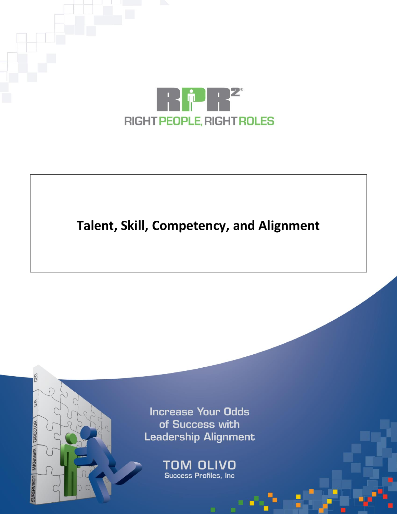

# **Talent, Skill, Competency, and Alignment**

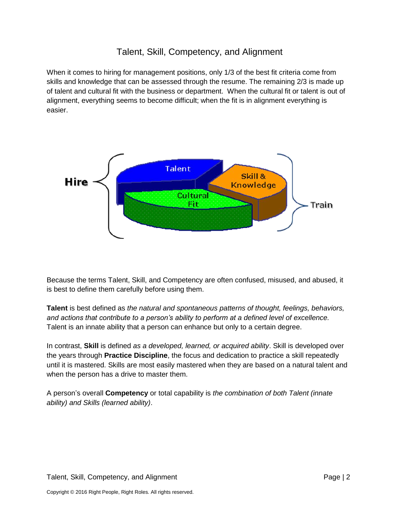### Talent, Skill, Competency, and Alignment

When it comes to hiring for management positions, only 1/3 of the best fit criteria come from skills and knowledge that can be assessed through the resume. The remaining 2/3 is made up of talent and cultural fit with the business or department. When the cultural fit or talent is out of alignment, everything seems to become difficult; when the fit is in alignment everything is easier.



Because the terms Talent, Skill, and Competency are often confused, misused, and abused, it is best to define them carefully before using them.

**Talent** is best defined as *the natural and spontaneous patterns of thought, feelings, behaviors, and actions that contribute to a person's ability to perform at a defined level of excellence.* Talent is an innate ability that a person can enhance but only to a certain degree.

In contrast, **Skill** is defined *as a developed, learned, or acquired ability*. Skill is developed over the years through **Practice Discipline**, the focus and dedication to practice a skill repeatedly until it is mastered. Skills are most easily mastered when they are based on a natural talent and when the person has a drive to master them.

A person's overall **Competency** or total capability is *the combination of both Talent (innate ability) and Skills (learned ability)*.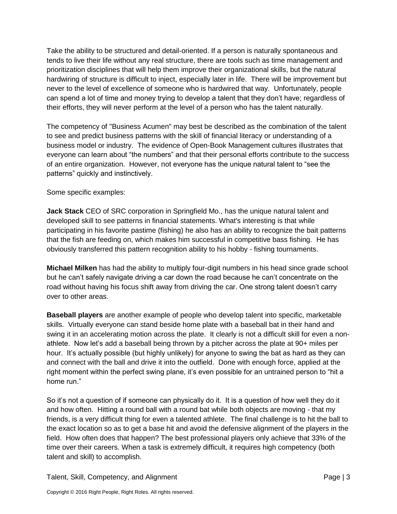Take the ability to be structured and detail-oriented. If a person is naturally spontaneous and tends to live their life without any real structure, there are tools such as time management and prioritization disciplines that will help them improve their organizational skills, but the natural hardwiring of structure is difficult to inject, especially later in life. There will be improvement but never to the level of excellence of someone who is hardwired that way. Unfortunately, people can spend a lot of time and money trying to develop a talent that they don't have; regardless of their efforts, they will never perform at the level of a person who has the talent naturally.

The competency of "Business Acumen" may best be described as the combination of the talent to see and predict business patterns with the skill of financial literacy or understanding of a business model or industry. The evidence of Open-Book Management cultures illustrates that everyone can learn about "the numbers" and that their personal efforts contribute to the success of an entire organization. However, not everyone has the unique natural talent to "see the patterns" quickly and instinctively.

#### Some specific examples:

**Jack Stack** CEO of SRC corporation in Springfield Mo., has the unique natural talent and developed skill to see patterns in financial statements. What's interesting is that while participating in his favorite pastime (fishing) he also has an ability to recognize the bait patterns that the fish are feeding on, which makes him successful in competitive bass fishing. He has obviously transferred this pattern recognition ability to his hobby - fishing tournaments.

**Michael Milken** has had the ability to multiply four-digit numbers in his head since grade school but he can't safely navigate driving a car down the road because he can't concentrate on the road without having his focus shift away from driving the car. One strong talent doesn't carry over to other areas.

**Baseball players** are another example of people who develop talent into specific, marketable skills. Virtually everyone can stand beside home plate with a baseball bat in their hand and swing it in an accelerating motion across the plate. It clearly is not a difficult skill for even a nonathlete. Now let's add a baseball being thrown by a pitcher across the plate at 90+ miles per hour. It's actually possible (but highly unlikely) for anyone to swing the bat as hard as they can and connect with the ball and drive it into the outfield. Done with enough force, applied at the right moment within the perfect swing plane, it's even possible for an untrained person to "hit a home run."

So it's not a question of if someone can physically do it. It is a question of how well they do it and how often. Hitting a round ball with a round bat while both objects are moving - that my friends, is a very difficult thing for even a talented athlete. The final challenge is to hit the ball to the exact location so as to get a base hit and avoid the defensive alignment of the players in the field. How often does that happen? The best professional players only achieve that 33% of the time over their careers. When a task is extremely difficult, it requires high competency (both talent and skill) to accomplish.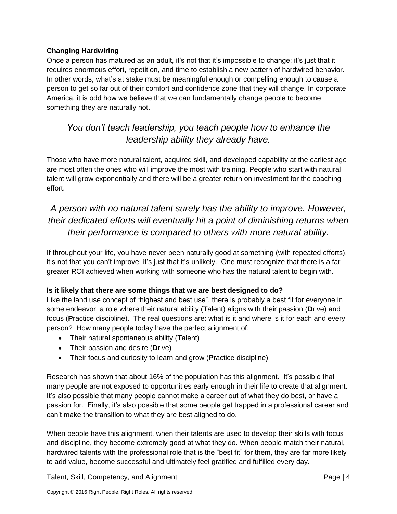#### **Changing Hardwiring**

Once a person has matured as an adult, it's not that it's impossible to change; it's just that it requires enormous effort, repetition, and time to establish a new pattern of hardwired behavior. In other words, what's at stake must be meaningful enough or compelling enough to cause a person to get so far out of their comfort and confidence zone that they will change. In corporate America, it is odd how we believe that we can fundamentally change people to become something they are naturally not.

## *You don't teach leadership, you teach people how to enhance the leadership ability they already have.*

Those who have more natural talent, acquired skill, and developed capability at the earliest age are most often the ones who will improve the most with training. People who start with natural talent will grow exponentially and there will be a greater return on investment for the coaching effort.

## *A person with no natural talent surely has the ability to improve. However, their dedicated efforts will eventually hit a point of diminishing returns when their performance is compared to others with more natural ability.*

If throughout your life, you have never been naturally good at something (with repeated efforts), it's not that you can't improve; it's just that it's unlikely. One must recognize that there is a far greater ROI achieved when working with someone who has the natural talent to begin with.

#### **Is it likely that there are some things that we are best designed to do?**

Like the land use concept of "highest and best use", there is probably a best fit for everyone in some endeavor, a role where their natural ability (**T**alent) aligns with their passion (**D**rive) and focus (**P**ractice discipline). The real questions are: what is it and where is it for each and every person? How many people today have the perfect alignment of:

- Their natural spontaneous ability (**T**alent)
- Their passion and desire (**D**rive)
- Their focus and curiosity to learn and grow (**P**ractice discipline)

Research has shown that about 16% of the population has this alignment. It's possible that many people are not exposed to opportunities early enough in their life to create that alignment. It's also possible that many people cannot make a career out of what they do best, or have a passion for. Finally, it's also possible that some people get trapped in a professional career and can't make the transition to what they are best aligned to do.

When people have this alignment, when their talents are used to develop their skills with focus and discipline, they become extremely good at what they do. When people match their natural, hardwired talents with the professional role that is the "best fit" for them, they are far more likely to add value, become successful and ultimately feel gratified and fulfilled every day.

Talent, Skill, Competency, and Alignment **Page | 4** and Alignment Page | 4